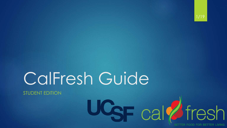

# CalFresh Guide

STUDENT EDITION

# UC<sub>SF</sub> call fresh FOOD FOR BETTER LIVING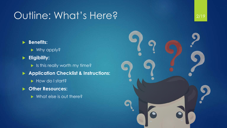#### Outline: What's Here?

#### **Benefits:**

- ▶ Why apply?
- **Eligibility:** 
	- If its this really worth my time?
- **Application Checklist & Instructions:** 
	- *How* do I start?
- **Other Resources:** 
	- ▶ What else is out there?

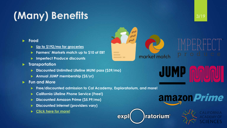## **(Many) Benefits**



#### **Food**

- **Up to \$192/mo for groceries**
- **Farmers' Markets match up to \$10 of EBT**
- **Imperfect Produce discounts**
- **Transportation**
	- **Discounted Unlimited Lifeline MUNI pass (\$39/mo)**
	- **Annual JUMP membership (\$5/yr)**
- **Fun and More**
	- **Free/discounted admission to Cal Academy, Exploratorium, and more!**
	- **California Lifeline Phone Service (Free!)**
	- **Discounted Amazon Prime (\$5.99/mo)**
	- **Discounted internet (providers vary)**
	- **[Click here for more!](https://lowincomerelief.com/california-ebt/)**





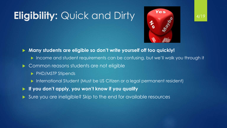### **Eligibility:** Quick and Dirty





- **Many students are eligible so don't write yourself off too quickly!**
	- Income and student requirements can be confusing, but we'll walk you through it
- Common reasons students are not eligible
	- PHD/MSTP Stipends
	- International Student (Must be US Citizen or a legal permanent resident)
- **If you don't apply, you won't know if you qualify**
- Sure you are ineligible? Skip to the end for available resources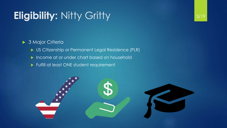### **Eligibility:** Nitty Gritty

#### ▶ 3 Major Criteria

- US Citizenship or Permanent Legal Residence (PLR)
- Income at or under chart based on household
- **Fulfill at least ONE student requirement**

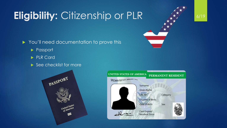### **Eligibility:** Citizenship or PLR

▶ You'll need documentation to prove this

- **Passport**
- PLR Card
- $\triangleright$  See checklist for more



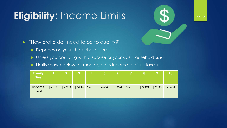#### **Eligibility:** Income Limits

"How broke do I need to be to qualify?"

- **Depends on your "household" size**
- Unless you are living with a spouse or your kids, household size=1
- Limits shown below for monthly *gross* income (before taxes)

| <b>Family</b><br><b>Size</b> |        | $\overline{2}$ | $\mathbf{3}$                | $\overline{4}$ |  |        |        |        |        |
|------------------------------|--------|----------------|-----------------------------|----------------|--|--------|--------|--------|--------|
| <b>Income</b><br>Limit       | \$2010 | \$2708         | \$3404 \$4100 \$4798 \$5494 |                |  | \$6190 | \$6888 | \$7586 | \$8284 |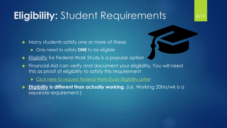#### **Eligibility:** Student Requirements

Many students satisfy one or more of these.

- ▶ Only need to satisfy **ONE** to be eligible
- *Eligibility* for Federal Work Study is a popular option
- Financial Aid can verify and document your eligibility. You will need this as proof of eligibility to satisfy this requirement
	- ▶ [Click here to request Federal Work-Study Eligibility Letter](https://ucsf.co1.qualtrics.com/jfe/form/SV_80JpLvADPStNeMl)
- **Eligibility** is different than actually working. (i.e. Working 20hrs/wk is a separate requirement.)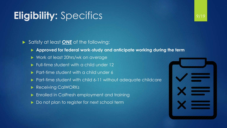#### **Eligibility:** Specifics

#### Satisfy at least **<u>ONE</u>** of the following:

- **Approved for federal work-study and anticipate working during the term**
- Work at least 20hrs/wk on average
- ▶ Full-time student with a child under 12
- ▶ Part-time student with a child under 6
- Part-time student with child 6-11 without adequate childcare
- Receiving CalWORKs
- Enrolled in CalFresh employment and training
- Do not plan to register for next school term

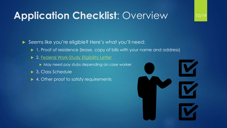#### **Application Checklist**: Overview

Seems like you're eligible? Here's what you'll need:

- ▶ 1. Proof of residence (lease, copy of bills with your name and address)
- ▶ 2. Federal Work-Study Eligibility Letter
	- ▶ May need pay stubs depending on case worker
- ▶ 3. Class Schedule
- ▶ 4. Other proof to satisfy requirements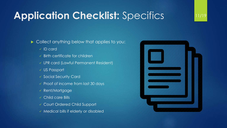#### **Application Checklist:** Specifics

 $\blacktriangleright$  Collect anything below that applies to you:

 $\sqrt{}$  ID card

- $\checkmark$  Birth certificate for children
- LPR card (Lawful Permanent Resident)
- US Passport
- Social Security Card
- $\checkmark$  Proof of income from last 30 days
- Rent/Mortgage
- Child care Bills
- Court Ordered Child Support
- $\checkmark$  Medical bills if elderly or disabled

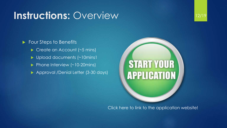#### **Instructions:** Overview



▶ Four Steps to Benefits

- Create an Account (~5 mins)
- ▶ Upload documents (~10mins1
- $\blacktriangleright$  Phone Interview (~10-20mins)
- Approval /Denial Letter (3-30 days)



Click here to link to the application website!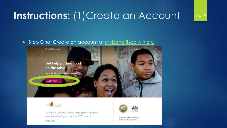#### **Instructions:** (1)Create an Account

#### Step One: Create an account at [mybenefitscalwin.org](https://www.mybenefitscalwin.org/)





CalFresh is California's food stamps (SNAP) program. Most households get more than \$200 a month.

Learn more



An official State of California CalFresh outreach partner.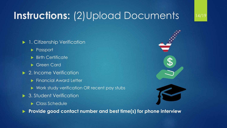### **Instructions:** (2)Upload Documents

#### ▶ 1. Citizenship Verification

- **Passport**
- **Birth Certificate**
- ▶ Green Card
- ▶ 2. Income Verification
	- **Financial Award Letter**
	- ▶ Work study verification OR recent pay stubs
- ▶ 3. Student Verification
	- ▶ Class Schedule

**Provide good contact number and best time(s) for phone interview**

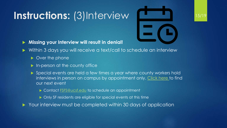### **Instructions:** (3)Interview

**Missing your Interview will result in denial!**



- Within 3 days you will receive a text/call to schedule an interview
	- ▶ Over the phone
	- **In-person at the county office**
	- Special events are held a few times a year where county workers hold interviews in person on campus by appointment only. [Click here t](https://basicneeds.ucsf.edu/events.)o find our next event
		- Contact [FSFS@ucsf.edu](mailto:FSFS@ucsf.edu) to schedule an appointment
		- ▶ Only SF residents are eligible for special events at this time
- Your interview must be completed within 30 days of application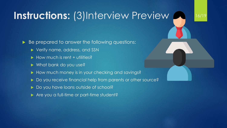#### **Instructions:** (3)Interview Preview

16/19

Be prepared to answer the following questions:

- ▶ Verify name, address, and SSN
- $\blacktriangleright$  How much is rent + utilities?
- ▶ What bank do you use?
- How much money is in your checking and savings?
- Do you receive financial help from parents or other source?
- Do you have loans outside of school?
- Are you a full-time or part-time student?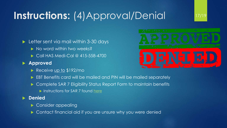### **Instructions:** (4)Approval/Denial

Letter sent via mail within 3-30 days

- No word within two weeks?
- ▶ Call HAS Medi-Cal @ 415-558-4700

#### **Approved**

Receive up to \$192/mo



- ▶ EBT Benefits card will be mailed and PIN will be mailed separately
- ▶ Complete SAR 7 Eligibility Status Report Form to maintain benefits
	- Instructions for SAR 7 found [here](http://www.cdss.ca.gov/cdssweb/entres/forms/English/SAR7A.pdf)
- **Denied**
	- Consider appealing
	- Contact financial aid if you are unsure why you were denied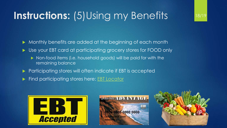### **Instructions:** (5)Using my Benefits

Monthly benefits are added at the beginning of each month

- Use your EBT card at participating grocery stores for FOOD only
	- Non-food items (i.e. household goods) will be paid for with the remaining balance
- Participating stores will often indicate if EBT is accepted
- Find participating stores here: **[EBT Locator](https://www.ebt.ca.gov/locator/index.html#/locator.page)**